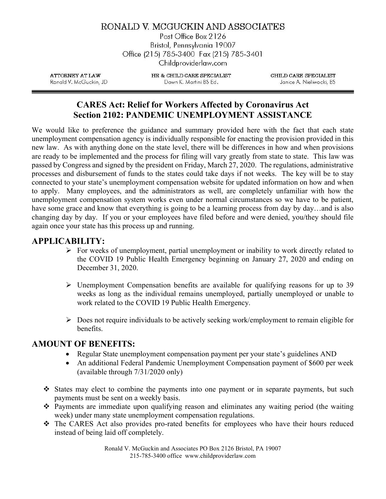RONALD V. MCGUCKIN AND ASSOCIATES

Post Office Box 2126 Bristol, Pennsylvania 19007 Office (215) 785-3400 Fax (215) 785-3401 Childproviderlaw.com

**ATTORNEY AT LAW** Ronald V. McGuckin, JD HR & CHILD CARE SPECIALIST Dawn K. Martini BS Ed.

CHILD CARE SPECIALIST Janice A. Nieliwocki, BS

### CARES Act: Relief for Workers Affected by Coronavirus Act Section 2102: PANDEMIC UNEMPLOYMENT ASSISTANCE

We would like to preference the guidance and summary provided here with the fact that each state unemployment compensation agency is individually responsible for enacting the provision provided in this new law. As with anything done on the state level, there will be differences in how and when provisions are ready to be implemented and the process for filing will vary greatly from state to state. This law was passed by Congress and signed by the president on Friday, March 27, 2020. The regulations, administrative processes and disbursement of funds to the states could take days if not weeks. The key will be to stay connected to your state's unemployment compensation website for updated information on how and when to apply. Many employees, and the administrators as well, are completely unfamiliar with how the unemployment compensation system works even under normal circumstances so we have to be patient, have some grace and know that everything is going to be a learning process from day by day...and is also changing day by day. If you or your employees have filed before and were denied, you/they should file again once your state has this process up and running.

#### APPLICABILITY:

- $\triangleright$  For weeks of unemployment, partial unemployment or inability to work directly related to the COVID 19 Public Health Emergency beginning on January 27, 2020 and ending on December 31, 2020.
- $\triangleright$  Unemployment Compensation benefits are available for qualifying reasons for up to 39 weeks as long as the individual remains unemployed, partially unemployed or unable to work related to the COVID 19 Public Health Emergency.
- $\triangleright$  Does not require individuals to be actively seeking work/employment to remain eligible for benefits.

#### AMOUNT OF BENEFITS:

- Regular State unemployment compensation payment per your state's guidelines AND
- An additional Federal Pandemic Unemployment Compensation payment of \$600 per week (available through 7/31/2020 only)
- States may elect to combine the payments into one payment or in separate payments, but such payments must be sent on a weekly basis.
- Payments are immediate upon qualifying reason and eliminates any waiting period (the waiting week) under many state unemployment compensation regulations.
- The CARES Act also provides pro-rated benefits for employees who have their hours reduced instead of being laid off completely.

Ronald V. McGuckin and Associates PO Box 2126 Bristol, PA 19007 215-785-3400 office www.childproviderlaw.com